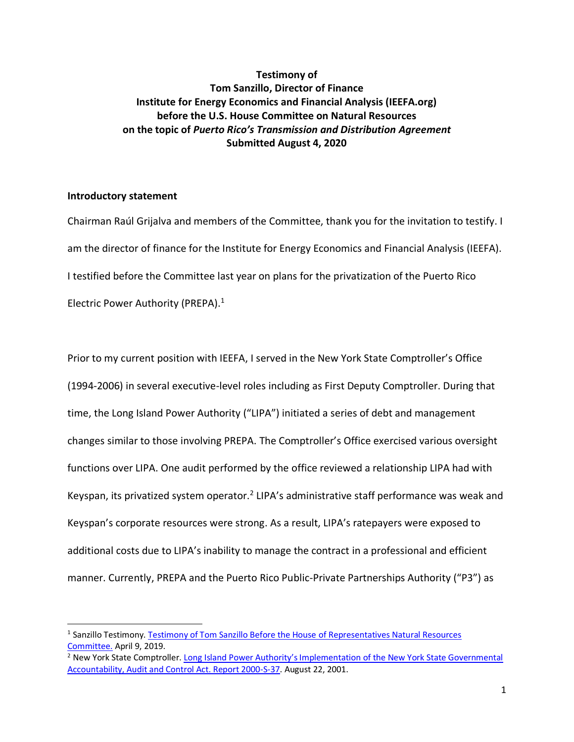# **Testimony of Tom Sanzillo, Director of Finance Institute for Energy Economics and Financial Analysis (IEEFA.org) before the U.S. House Committee on Natural Resources on the topic of** *Puerto Rico's Transmission and Distribution Agreement* **Submitted August 4, 2020**

## **Introductory statement**

Chairman Raúl Grijalva and members of the Committee, thank you for the invitation to testify. I am the director of finance for the Institute for Energy Economics and Financial Analysis (IEEFA). I testified before the Committee last year on plans for the privatization of the Puerto Rico Electric Power Authority (PREPA). 1

Prior to my current position with IEEFA, I served in the New York State Comptroller's Office (1994-2006) in several executive-level roles including as First Deputy Comptroller. During that time, the Long Island Power Authority ("LIPA") initiated a series of debt and management changes similar to those involving PREPA. The Comptroller's Office exercised various oversight functions over LIPA. One audit performed by the office reviewed a relationship LIPA had with Keyspan, its privatized system operator.<sup>2</sup> LIPA's administrative staff performance was weak and Keyspan's corporate resources were strong. As a result, LIPA's ratepayers were exposed to additional costs due to LIPA's inability to manage the contract in a professional and efficient manner. Currently, PREPA and the Puerto Rico Public-Private Partnerships Authority ("P3") as

<sup>&</sup>lt;sup>1</sup> Sanzillo Testimony. Testimony of Tom Sanzillo Before the House of Representatives Natural Resources [Committee.](https://ieefa.org/wp-content/uploads/2019/04/Sanzillo-Written-Testimony_4.9.19.pdf) April 9, 2019.

<sup>2</sup> New York State Comptroller. [Long Island Power Authority's Implementation of the New York State Governmental](https://web.osc.state.ny.us/audits/allaudits/093001/00s37.pdf)  [Accountability, Audit and Control Act. Report 2000-S-37.](https://web.osc.state.ny.us/audits/allaudits/093001/00s37.pdf) August 22, 2001.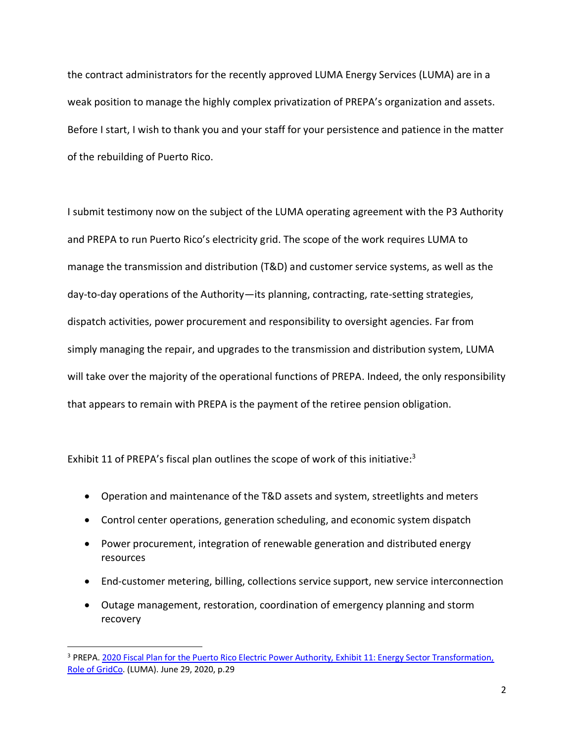the contract administrators for the recently approved LUMA Energy Services (LUMA) are in a weak position to manage the highly complex privatization of PREPA's organization and assets. Before I start, I wish to thank you and your staff for your persistence and patience in the matter of the rebuilding of Puerto Rico.

I submit testimony now on the subject of the LUMA operating agreement with the P3 Authority and PREPA to run Puerto Rico's electricity grid. The scope of the work requires LUMA to manage the transmission and distribution (T&D) and customer service systems, as well as the day-to-day operations of the Authority—its planning, contracting, rate-setting strategies, dispatch activities, power procurement and responsibility to oversight agencies. Far from simply managing the repair, and upgrades to the transmission and distribution system, LUMA will take over the majority of the operational functions of PREPA. Indeed, the only responsibility that appears to remain with PREPA is the payment of the retiree pension obligation.

Exhibit 11 of PREPA's fiscal plan outlines the scope of work of this initiative: $3$ 

- Operation and maintenance of the T&D assets and system, streetlights and meters
- Control center operations, generation scheduling, and economic system dispatch
- Power procurement, integration of renewable generation and distributed energy resources
- End-customer metering, billing, collections service support, new service interconnection
- Outage management, restoration, coordination of emergency planning and storm recovery

<sup>&</sup>lt;sup>3</sup> PREPA. 2020 Fiscal Plan for the Puerto Rico Electric Power Authority, Exhibit 11: Energy Sector Transformation, [Role of GridCo.](https://drive.google.com/file/d/1paRgy0dJBkUH4-5eev7z2SuR0diil8g9/view) (LUMA). June 29, 2020, p.29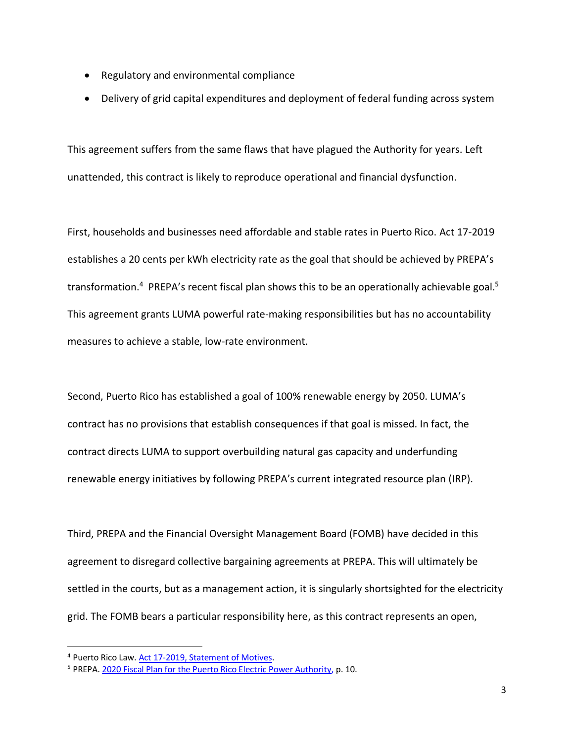- Regulatory and environmental compliance
- Delivery of grid capital expenditures and deployment of federal funding across system

This agreement suffers from the same flaws that have plagued the Authority for years. Left unattended, this contract is likely to reproduce operational and financial dysfunction.

First, households and businesses need affordable and stable rates in Puerto Rico. Act 17-2019 establishes a 20 cents per kWh electricity rate as the goal that should be achieved by PREPA's transformation.<sup>4</sup> PREPA's recent fiscal plan shows this to be an operationally achievable goal.<sup>5</sup> This agreement grants LUMA powerful rate-making responsibilities but has no accountability measures to achieve a stable, low-rate environment.

Second, Puerto Rico has established a goal of 100% renewable energy by 2050. LUMA's contract has no provisions that establish consequences if that goal is missed. In fact, the contract directs LUMA to support overbuilding natural gas capacity and underfunding renewable energy initiatives by following PREPA's current integrated resource plan (IRP).

Third, PREPA and the Financial Oversight Management Board (FOMB) have decided in this agreement to disregard collective bargaining agreements at PREPA. This will ultimately be settled in the courts, but as a management action, it is singularly shortsighted for the electricity grid. The FOMB bears a particular responsibility here, as this contract represents an open,

<sup>4</sup> Puerto Rico Law. Act 17-2019, [Statement of Motives.](https://aeepr.com/es-pr/QuienesSomos/Ley17/A-17-2019%20PS%201121%20Politica%20Publica%20Energetica.pdf)

<sup>5</sup> PREPA. [2020 Fiscal Plan for the Puerto Rico Electric Power Authority,](https://drive.google.com/file/d/1paRgy0dJBkUH4-5eev7z2SuR0diil8g9/view) p. 10.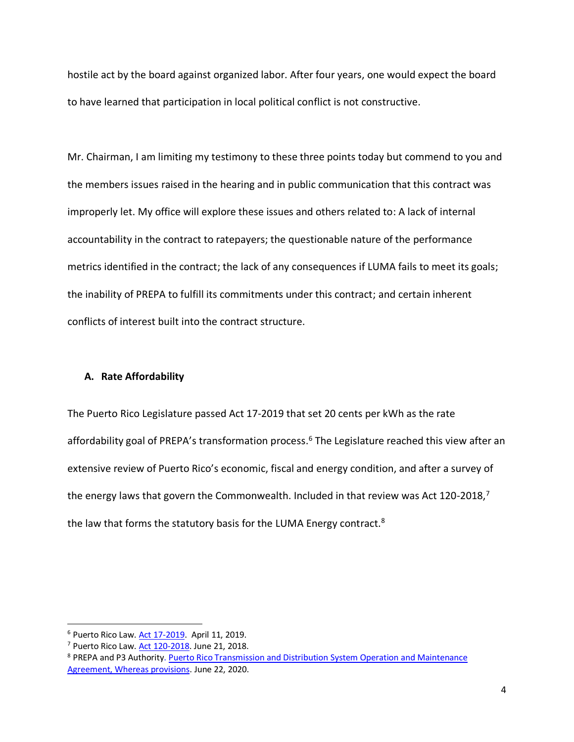hostile act by the board against organized labor. After four years, one would expect the board to have learned that participation in local political conflict is not constructive.

Mr. Chairman, I am limiting my testimony to these three points today but commend to you and the members issues raised in the hearing and in public communication that this contract was improperly let. My office will explore these issues and others related to: A lack of internal accountability in the contract to ratepayers; the questionable nature of the performance metrics identified in the contract; the lack of any consequences if LUMA fails to meet its goals; the inability of PREPA to fulfill its commitments under this contract; and certain inherent conflicts of interest built into the contract structure.

# **A. Rate Affordability**

The Puerto Rico Legislature passed Act 17-2019 that set 20 cents per kWh as the rate affordability goal of PREPA's transformation process.<sup>6</sup> The Legislature reached this view after an extensive review of Puerto Rico's economic, fiscal and energy condition, and after a survey of the energy laws that govern the Commonwealth. Included in that review was Act 120-2018,<sup>7</sup> the law that forms the statutory basis for the LUMA Energy contract.<sup>8</sup>

<sup>6</sup> Puerto Rico Law[. Act 17-2019.](https://aeepr.com/es-pr/QuienesSomos/Ley17/A-17-2019%20PS%201121%20Politica%20Publica%20Energetica.pdf) April 11, 2019.

<sup>7</sup> Puerto Rico Law[. Act 120-2018.](https://energia.pr.gov/wp-content/uploads/2019/06/Ley-120-2018-Ingles.pdf) June 21, 2018.

<sup>&</sup>lt;sup>8</sup> PREPA and P3 Authority. Puerto Rico Transmission and Distribution System Operation and Maintenance [Agreement, Whereas provisions.](http://www.p3.pr.gov/assets/executed-consolidated-om-agreement-td.pdf) June 22, 2020.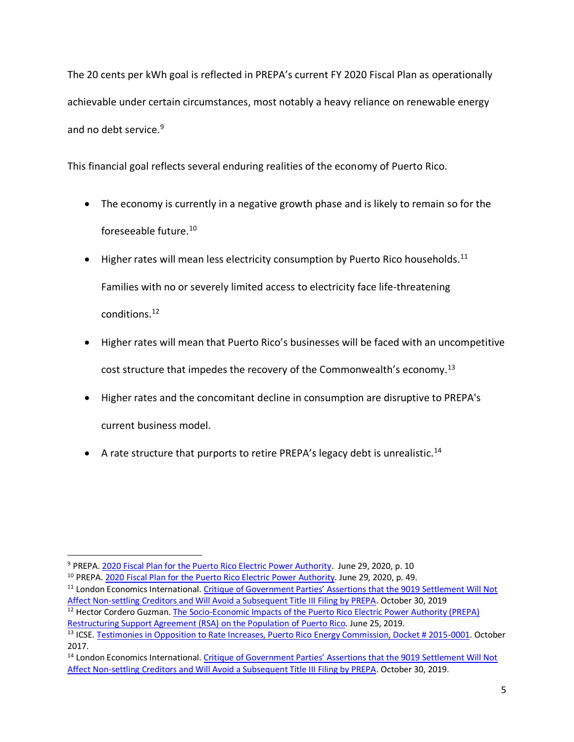The 20 cents per kWh goal is reflected in PREPA's current FY 2020 Fiscal Plan as operationally achievable under certain circumstances, most notably a heavy reliance on renewable energy and no debt service.<sup>9</sup>

This financial goal reflects several enduring realities of the economy of Puerto Rico.

- The economy is currently in a negative growth phase and is likely to remain so for the foreseeable future.<sup>10</sup>
- $\bullet$  Higher rates will mean less electricity consumption by Puerto Rico households.<sup>11</sup> Families with no or severely limited access to electricity face life-threatening conditions.<sup>12</sup>
- Higher rates will mean that Puerto Rico's businesses will be faced with an uncompetitive cost structure that impedes the recovery of the Commonwealth's economy.<sup>13</sup>
- Higher rates and the concomitant decline in consumption are disruptive to PREPA's current business model.
- A rate structure that purports to retire PREPA's legacy debt is unrealistic.<sup>14</sup>

<sup>11</sup> London Economics International. Critique of Government Parties' Assertions that the 9019 Settlement Will Not [Affect Non-settling Creditors and Will Avoid a Subsequent Title III Filing by PREPA.](https://creditorspr.com/wp-content/uploads/2020/02/Redacted-LEI-Report-filed-version.pdf) October 30, 2019

<sup>9</sup> PREPA. [2020 Fiscal Plan for the Puerto Rico Electric Power Authority.](https://drive.google.com/file/d/1paRgy0dJBkUH4-5eev7z2SuR0diil8g9/view) June 29, 2020, p. 10

<sup>10</sup> PREPA[. 2020 Fiscal Plan for the Puerto Rico Electric Power Authority.](https://drive.google.com/file/d/1paRgy0dJBkUH4-5eev7z2SuR0diil8g9/view) June 29, 2020, p. 49.

<sup>&</sup>lt;sup>12</sup> Hector Cordero Guzman. The Socio-Economic Impacts of the Puerto Rico Electric Power Authority (PREPA) [Restructuring Support Agreement \(RSA\) on the Population of Puerto Rico.](https://ieefa.org/wp-content/uploads/2019/12/PREPA-RSA-Cordero-Guzman-UTIER-REPORT-9-10-19-FIN-ENGLISH.pdf) June 25, 2019.

<sup>&</sup>lt;sup>13</sup> ICSE. [Testimonies in Opposition to Rate Increases, Puerto Rico Energy Commission, Docket # 2015-0001.](http://icsepr.org/wp-content/uploads/2017/10/ICSE-PR-Filed-Testimonies-FY-2017-Rate-Case-.pdf) October 2017.

<sup>&</sup>lt;sup>14</sup> London Economics International. Critique of Government Parties' Assertions that the 9019 Settlement Will Not [Affect Non-settling Creditors and Will Avoid a Subsequent Title III Filing by PREPA.](https://creditorspr.com/wp-content/uploads/2020/02/Redacted-LEI-Report-filed-version.pdf) October 30, 2019.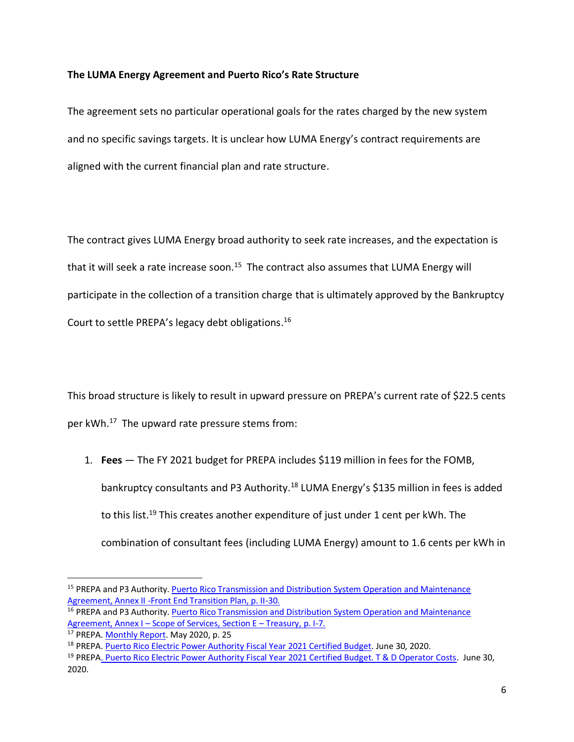## **The LUMA Energy Agreement and Puerto Rico's Rate Structure**

The agreement sets no particular operational goals for the rates charged by the new system and no specific savings targets. It is unclear how LUMA Energy's contract requirements are aligned with the current financial plan and rate structure.

The contract gives LUMA Energy broad authority to seek rate increases, and the expectation is that it will seek a rate increase soon.<sup>15</sup> The contract also assumes that LUMA Energy will participate in the collection of a transition charge that is ultimately approved by the Bankruptcy Court to settle PREPA's legacy debt obligations. 16

This broad structure is likely to result in upward pressure on PREPA's current rate of \$22.5 cents per kWh. <sup>17</sup> The upward rate pressure stems from:

1. **Fees** — The FY 2021 budget for PREPA includes \$119 million in fees for the FOMB, bankruptcy consultants and P3 Authority.<sup>18</sup> LUMA Energy's \$135 million in fees is added to this list.<sup>19</sup> This creates another expenditure of just under 1 cent per kWh. The combination of consultant fees (including LUMA Energy) amount to 1.6 cents per kWh in

<sup>&</sup>lt;sup>15</sup> PREPA and P3 Authority. Puerto Rico Transmission and Distribution System Operation and Maintenance [Agreement,](http://www.p3.pr.gov/assets/executed-consolidated-om-agreement-td.pdf) Annex II -Front End Transition Plan, p. II-30.

<sup>&</sup>lt;sup>16</sup> PREPA and P3 Authority. Puerto Rico Transmission and Distribution System Operation and Maintenance [Agreement,](http://www.p3.pr.gov/assets/executed-consolidated-om-agreement-td.pdf) Annex I – Scope of Services, Section E – Treasury, p. I-7.

<sup>&</sup>lt;sup>17</sup> PREPA[. Monthly Report.](https://aeepr.com/es-pr/investors/FinancialInformation/Monthly%20Reports/2020/May2020.pdf) May 2020, p. 25

<sup>&</sup>lt;sup>18</sup> PREPA[. Puerto Rico Electric Power Authority Fiscal Year 2021 Certified Budget.](https://drive.google.com/file/d/1yIV664F009bi3UeE9WBHi3J6U6r42tFQ/view) June 30, 2020.

<sup>&</sup>lt;sup>19</sup> PREP[A. Puerto Rico Electric Power Authority Fiscal Year 2021 Certified Budget. T & D Operator Costs.](https://drive.google.com/file/d/1yIV664F009bi3UeE9WBHi3J6U6r42tFQ/view) June 30, 2020.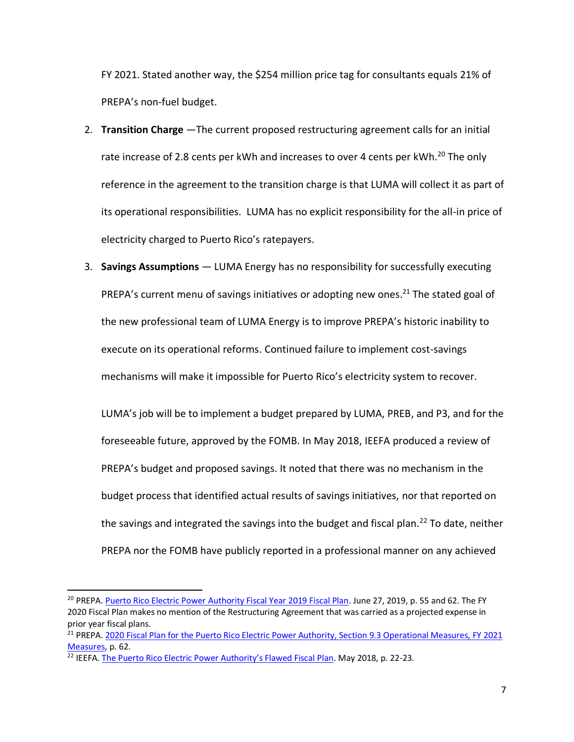FY 2021. Stated another way, the \$254 million price tag for consultants equals 21% of PREPA's non-fuel budget.

- 2. **Transition Charge** —The current proposed restructuring agreement calls for an initial rate increase of 2.8 cents per kWh and increases to over 4 cents per kWh.<sup>20</sup> The only reference in the agreement to the transition charge is that LUMA will collect it as part of its operational responsibilities. LUMA has no explicit responsibility for the all-in price of electricity charged to Puerto Rico's ratepayers.
- 3. **Savings Assumptions** LUMA Energy has no responsibility for successfully executing PREPA's current menu of savings initiatives or adopting new ones.<sup>21</sup> The stated goal of the new professional team of LUMA Energy is to improve PREPA's historic inability to execute on its operational reforms. Continued failure to implement cost-savings mechanisms will make it impossible for Puerto Rico's electricity system to recover.

LUMA's job will be to implement a budget prepared by LUMA, PREB, and P3, and for the foreseeable future, approved by the FOMB. In May 2018, IEEFA produced a review of PREPA's budget and proposed savings. It noted that there was no mechanism in the budget process that identified actual results of savings initiatives, nor that reported on the savings and integrated the savings into the budget and fiscal plan.<sup>22</sup> To date, neither PREPA nor the FOMB have publicly reported in a professional manner on any achieved

<sup>&</sup>lt;sup>20</sup> PREPA. Puerto Rico Electric Power [Authority Fiscal Year 2019 Fiscal Plan.](https://aeepr.com/es-pr/Documents/Exhibit%201%20-%202019%20Fiscal_Plan_for_PREPA_Certified_FOMB%20on_June_27_2019.pdf) June 27, 2019, p. 55 and 62. The FY 2020 Fiscal Plan makes no mention of the Restructuring Agreement that was carried as a projected expense in prior year fiscal plans.

<sup>&</sup>lt;sup>21</sup> PREPA[. 2020 Fiscal Plan for the Puerto Rico Electric Power Authority,](https://drive.google.com/file/d/1paRgy0dJBkUH4-5eev7z2SuR0diil8g9/view) [Section](https://aeepr.com/es-pr/Documents/Exhibit%201%20-%202019%20Fiscal_Plan_for_PREPA_Certified_FOMB%20on_June_27_2019.pdf) 9.3 Operational Measures, FY 2021 Measures, p. 62.

 $22$  IEEFA. [The Puerto Rico Electric Power Authority's Flawed Fiscal Plan](https://ieefa.org/wp-content/uploads/2018/05/The-Puerto-Rico-Electric-Power-Authoritys-Flawed-Fiscal-Plan_May-2018.pdf). May 2018, p. 22-23.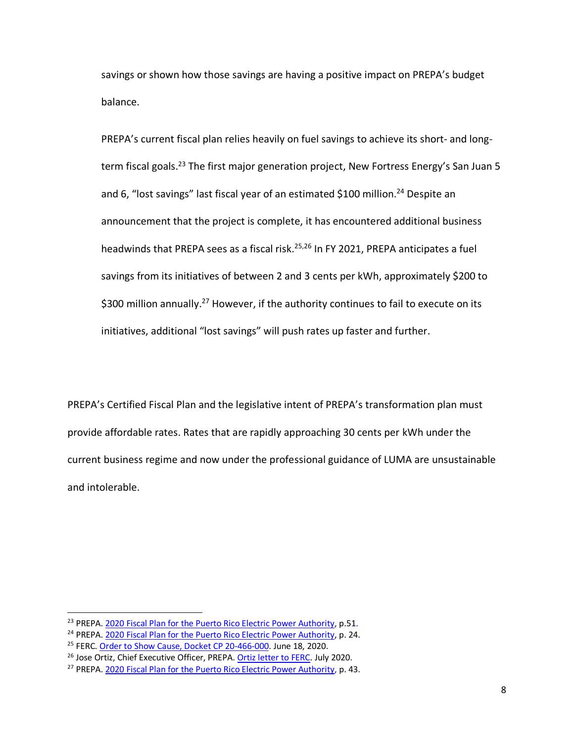savings or shown how those savings are having a positive impact on PREPA's budget balance.

PREPA's current fiscal plan relies heavily on fuel savings to achieve its short- and longterm fiscal goals.<sup>23</sup> The first major generation project, New Fortress Energy's San Juan 5 and 6, "lost savings" last fiscal year of an estimated \$100 million.<sup>24</sup> Despite an announcement that the project is complete, it has encountered additional business headwinds that PREPA sees as a fiscal risk.<sup>25,26</sup> In FY 2021, PREPA anticipates a fuel savings from its initiatives of between 2 and 3 cents per kWh, approximately \$200 to \$300 million annually.<sup>27</sup> However, if the authority continues to fail to execute on its initiatives, additional "lost savings" will push rates up faster and further.

PREPA's Certified Fiscal Plan and the legislative intent of PREPA's transformation plan must provide affordable rates. Rates that are rapidly approaching 30 cents per kWh under the current business regime and now under the professional guidance of LUMA are unsustainable and intolerable.

<sup>&</sup>lt;sup>23</sup> PREPA[. 2020 Fiscal Plan for the Puerto Rico Electric Power Authority,](https://drive.google.com/file/d/1paRgy0dJBkUH4-5eev7z2SuR0diil8g9/view) p.51.

<sup>&</sup>lt;sup>24</sup> PREPA[. 2020 Fiscal Plan for the Puerto Rico Electric Power Authority,](https://drive.google.com/file/d/1paRgy0dJBkUH4-5eev7z2SuR0diil8g9/view) p. 24.

<sup>&</sup>lt;sup>25</sup> FERC. [Order to Show Cause, Docket CP 20-466-000.](https://ieefa.org/wp-content/uploads/2020/06/FERC-Order-to-NFE-to-Show-Cause-20200618-305134121036.pdf) June 18, 2020.

<sup>&</sup>lt;sup>26</sup> Jose Ortiz, Chief Executive Officer, PREPA. [Ortiz letter to FERC.](https://energycentral.com/news/house-natural-resources-committee-issues-testimony-puerto-rico-electric-power-authority) July 2020.

<sup>&</sup>lt;sup>27</sup> PREPA[. 2020 Fiscal Plan for the Puerto Rico Electric Power Authority,](https://drive.google.com/file/d/1paRgy0dJBkUH4-5eev7z2SuR0diil8g9/view) p. 43.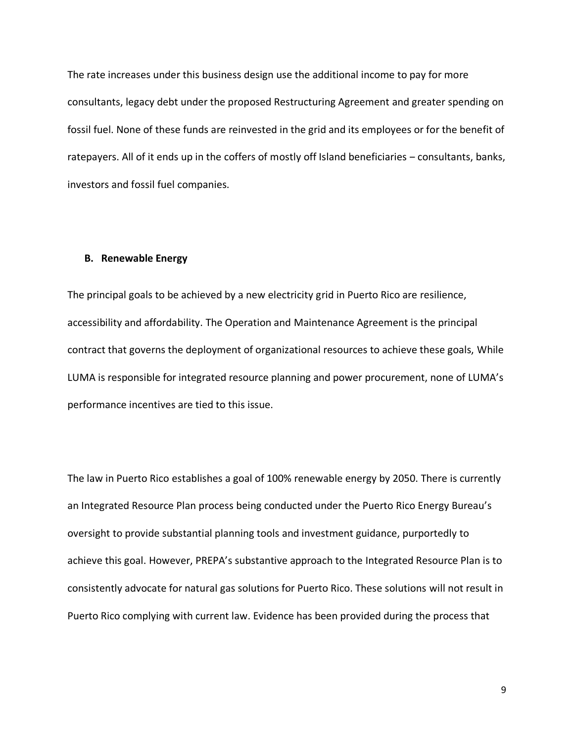The rate increases under this business design use the additional income to pay for more consultants, legacy debt under the proposed Restructuring Agreement and greater spending on fossil fuel. None of these funds are reinvested in the grid and its employees or for the benefit of ratepayers. All of it ends up in the coffers of mostly off Island beneficiaries - consultants, banks, investors and fossil fuel companies.

#### **B. Renewable Energy**

The principal goals to be achieved by a new electricity grid in Puerto Rico are resilience, accessibility and affordability. The Operation and Maintenance Agreement is the principal contract that governs the deployment of organizational resources to achieve these goals, While LUMA is responsible for integrated resource planning and power procurement, none of LUMA's performance incentives are tied to this issue.

The law in Puerto Rico establishes a goal of 100% renewable energy by 2050. There is currently an Integrated Resource Plan process being conducted under the Puerto Rico Energy Bureau's oversight to provide substantial planning tools and investment guidance, purportedly to achieve this goal. However, PREPA's substantive approach to the Integrated Resource Plan is to consistently advocate for natural gas solutions for Puerto Rico. These solutions will not result in Puerto Rico complying with current law. Evidence has been provided during the process that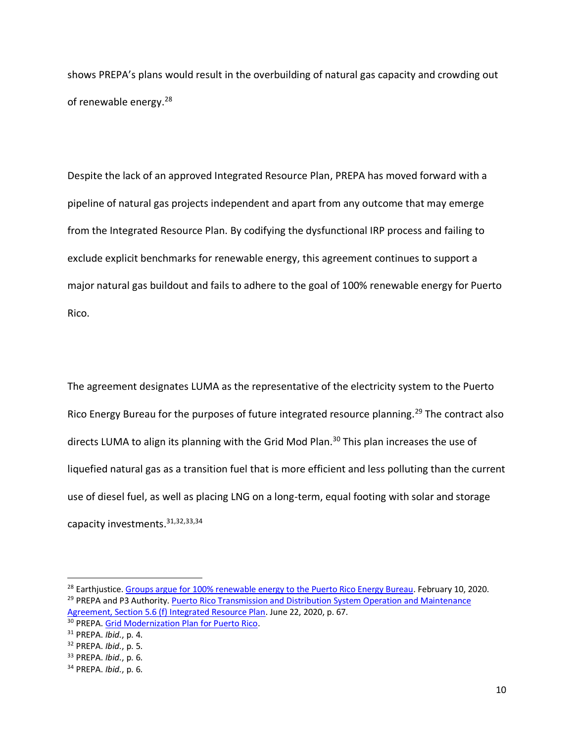shows PREPA's plans would result in the overbuilding of natural gas capacity and crowding out of renewable energy.<sup>28</sup>

Despite the lack of an approved Integrated Resource Plan, PREPA has moved forward with a pipeline of natural gas projects independent and apart from any outcome that may emerge from the Integrated Resource Plan. By codifying the dysfunctional IRP process and failing to exclude explicit benchmarks for renewable energy, this agreement continues to support a major natural gas buildout and fails to adhere to the goal of 100% renewable energy for Puerto Rico.

The agreement designates LUMA as the representative of the electricity system to the Puerto Rico Energy Bureau for the purposes of future integrated resource planning.<sup>29</sup> The contract also directs LUMA to align its planning with the Grid Mod Plan.<sup>30</sup> This plan increases the use of liquefied natural gas as a transition fuel that is more efficient and less polluting than the current use of diesel fuel, as well as placing LNG on a long-term, equal footing with solar and storage capacity investments.31,32,33,34

<sup>&</sup>lt;sup>28</sup> Earthiustice. [Groups argue for 100% renewable energy to the Puerto Rico Energy Bureau.](https://earthjustice.org/news/press/2020/100-percent-renewable-energy-governing-board-of-the-puerto-rico-electric-power-authority) February 10, 2020. <sup>29</sup> PREPA and P3 Authority. Puerto Rico Transmission and Distribution System Operation and Maintenance [Agreement, Section 5.6 \(f\) Integrated Resource Plan.](http://www.p3.pr.gov/assets/executed-consolidated-om-agreement-td.pdf) June 22, 2020, p. 67.

<sup>30</sup> PREPA[. Grid Modernization Plan for Puerto Rico.](https://recovery.pr/documents/Grid%20Modernization%20for%20Puerto%20Rico-English1.pdf)

<sup>31</sup> PREPA. *[Ibid.](https://recovery.pr/documents/Grid%20Modernization%20for%20Puerto%20Rico-English1.pdf)*, p. 4.

<sup>32</sup> PREPA. *[Ibid.](https://recovery.pr/documents/Grid%20Modernization%20for%20Puerto%20Rico-English1.pdf)*, p. 5.

<sup>33</sup> PREPA. *[Ibid.](https://recovery.pr/documents/Grid%20Modernization%20for%20Puerto%20Rico-English1.pdf)*, p. 6.

<sup>34</sup> PREPA. *[Ibid.](https://recovery.pr/documents/Grid%20Modernization%20for%20Puerto%20Rico-English1.pdf)*, p. 6.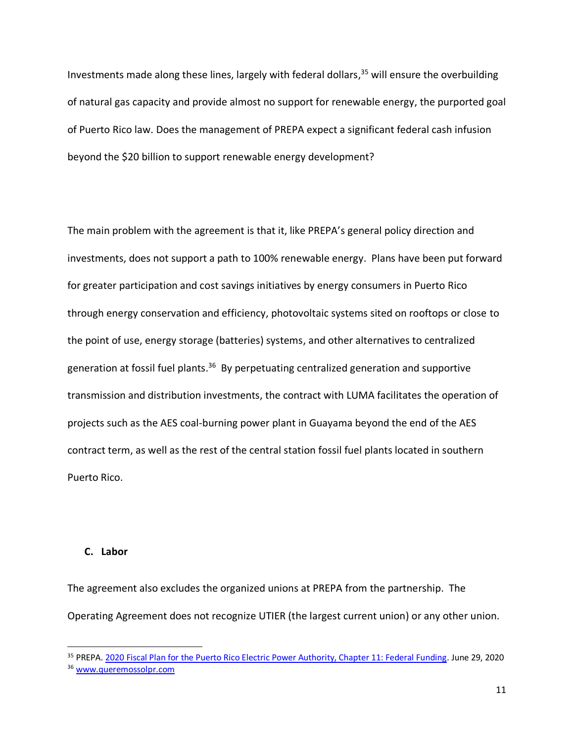Investments made along these lines, largely with federal dollars, <sup>35</sup> will ensure the overbuilding of natural gas capacity and provide almost no support for renewable energy, the purported goal of Puerto Rico law. Does the management of PREPA expect a significant federal cash infusion beyond the \$20 billion to support renewable energy development?

The main problem with the agreement is that it, like PREPA's general policy direction and investments, does not support a path to 100% renewable energy. Plans have been put forward for greater participation and cost savings initiatives by energy consumers in Puerto Rico through energy conservation and efficiency, photovoltaic systems sited on rooftops or close to the point of use, energy storage (batteries) systems, and other alternatives to centralized generation at fossil fuel plants.<sup>36</sup> By perpetuating centralized generation and supportive transmission and distribution investments, the contract with LUMA facilitates the operation of projects such as the AES coal-burning power plant in Guayama beyond the end of the AES contract term, as well as the rest of the central station fossil fuel plants located in southern Puerto Rico.

#### **C. Labor**

The agreement also excludes the organized unions at PREPA from the partnership. The Operating Agreement does not recognize UTIER (the largest current union) or any other union.

<sup>&</sup>lt;sup>35</sup> PREPA[. 2020 Fiscal Plan for the Puerto Rico Electric Power Authority, Chapter 11: Federal Funding.](https://drive.google.com/file/d/1paRgy0dJBkUH4-5eev7z2SuR0diil8g9/view) June 29, 2020 <sup>36</sup> [www.queremossolpr.com](https://www.queremossolpr.com/)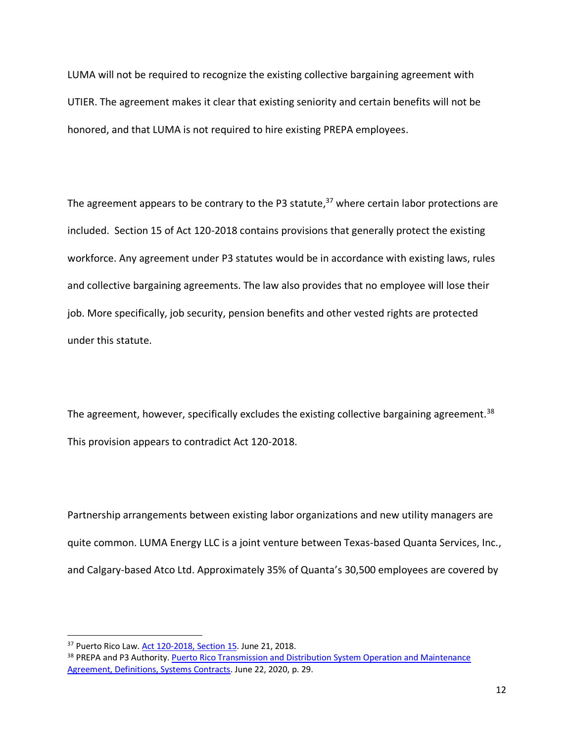LUMA will not be required to recognize the existing collective bargaining agreement with UTIER. The agreement makes it clear that existing seniority and certain benefits will not be honored, and that LUMA is not required to hire existing PREPA employees.

The agreement appears to be contrary to the P3 statute,<sup>37</sup> where certain labor protections are included. Section 15 of Act 120-2018 contains provisions that generally protect the existing workforce. Any agreement under P3 statutes would be in accordance with existing laws, rules and collective bargaining agreements. The law also provides that no employee will lose their job. More specifically, job security, pension benefits and other vested rights are protected under this statute.

The agreement, however, specifically excludes the existing collective bargaining agreement.<sup>38</sup> This provision appears to contradict Act 120-2018.

Partnership arrangements between existing labor organizations and new utility managers are quite common. LUMA Energy LLC is a joint venture between Texas-based Quanta Services, Inc., and Calgary-based Atco Ltd. Approximately 35% of Quanta's 30,500 employees are covered by

<sup>37</sup> Puerto Rico Law. [Act 120-2018, Section 15.](https://energia.pr.gov/wp-content/uploads/2019/06/Ley-120-2018-Ingles.pdf) June 21, 2018.

<sup>&</sup>lt;sup>38</sup> PREPA and P3 Authority. Puerto Rico Transmission and Distribution System Operation and Maintenance [Agreement, Definitions, Systems Contracts.](http://www.p3.pr.gov/assets/executed-consolidated-om-agreement-td.pdf) June 22, 2020, p. 29.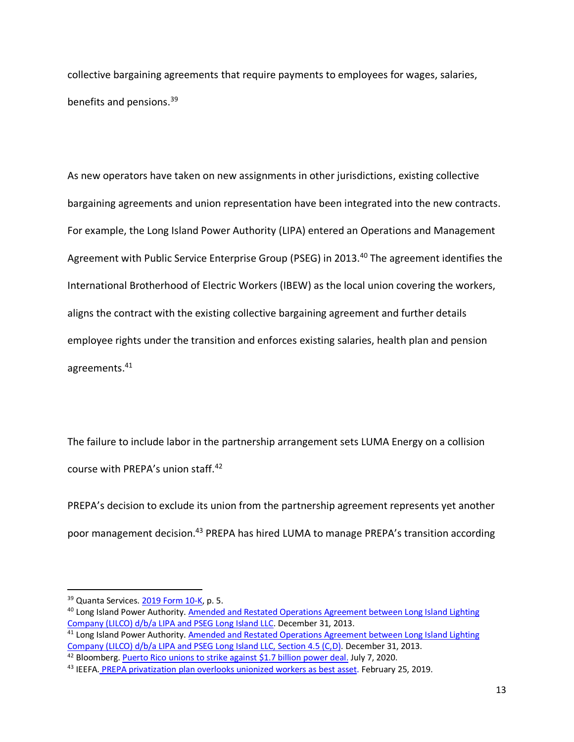collective bargaining agreements that require payments to employees for wages, salaries, benefits and pensions.<sup>39</sup>

As new operators have taken on new assignments in other jurisdictions, existing collective bargaining agreements and union representation have been integrated into the new contracts. For example, the Long Island Power Authority (LIPA) entered an Operations and Management Agreement with Public Service Enterprise Group (PSEG) in 2013.<sup>40</sup> The agreement identifies the International Brotherhood of Electric Workers (IBEW) as the local union covering the workers, aligns the contract with the existing collective bargaining agreement and further details employee rights under the transition and enforces existing salaries, health plan and pension agreements.<sup>41</sup>

The failure to include labor in the partnership arrangement sets LUMA Energy on a collision course with PREPA's union staff.<sup>42</sup>

PREPA's decision to exclude its union from the partnership agreement represents yet another poor management decision.<sup>43</sup> PREPA has hired LUMA to manage PREPA's transition according

<sup>39</sup> Quanta Services. 2019 [Form 10-K,](https://investors.quantaservices.com/sec-filings/annual-reports) p. 5.

<sup>&</sup>lt;sup>40</sup> Long Island Power Authority. Amended and Restated Operations Agreement between Long Island Lighting [Company \(LILCO\) d/b/a LIPA and PSEG Long Island LLC.](https://www.lipower.org/wp-content/uploads/2016/10/OSA.pdf) December 31, 2013.

<sup>&</sup>lt;sup>41</sup> Long Island Power Authority. Amended and Restated Operations Agreement between Long Island Lighting [Company \(LILCO\) d/b/a LIPA and PSEG Long Island LLC, Section 4.5 \(C,D\).](https://www.lipower.org/wp-content/uploads/2016/10/OSA.pdf) December 31, 2013.

<sup>&</sup>lt;sup>42</sup> Bloomberg. [Puerto Rico unions to strike against \\$1.7 billion power deal.](https://news.bloomberglaw.com/daily-labor-report/puerto-rico-unions-to-strike-against-1-7-billion-power-deal-1) July 7, 2020.

<sup>&</sup>lt;sup>43</sup> IEEFA. PREPA privatization [plan overlooks unionized workers as best asset.](https://ieefa.org/ieefa-puerto-rico-prepa-privatization-overlooks-unionized-workers-as-best-asset/) February 25, 2019.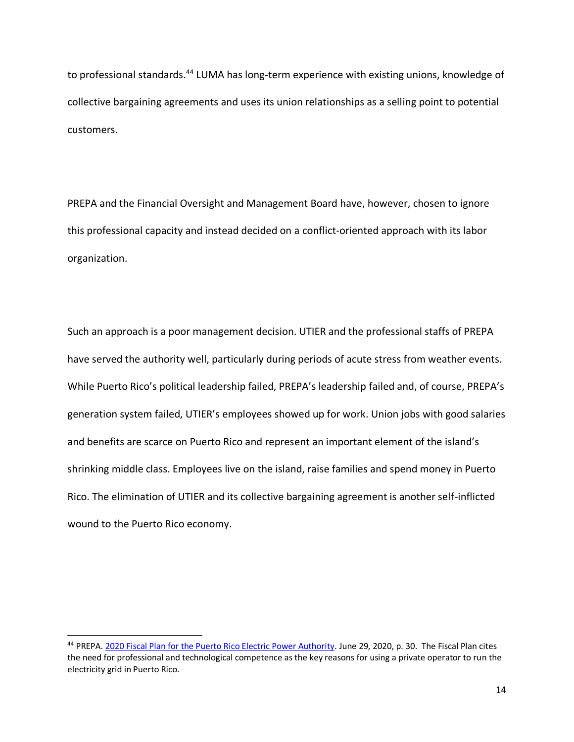to professional standards.<sup>44</sup> LUMA has long-term experience with existing unions, knowledge of collective bargaining agreements and uses its union relationships as a selling point to potential customers.

PREPA and the Financial Oversight and Management Board have, however, chosen to ignore this professional capacity and instead decided on a conflict-oriented approach with its labor organization.

Such an approach is a poor management decision. UTIER and the professional staffs of PREPA have served the authority well, particularly during periods of acute stress from weather events. While Puerto Rico's political leadership failed, PREPA's leadership failed and, of course, PREPA's generation system failed, UTIER's employees showed up for work. Union jobs with good salaries and benefits are scarce on Puerto Rico and represent an important element of the island's shrinking middle class. Employees live on the island, raise families and spend money in Puerto Rico. The elimination of UTIER and its collective bargaining agreement is another self-inflicted wound to the Puerto Rico economy.

<sup>44</sup> PREPA. [2020 Fiscal Plan for the Puerto Rico Electric Power Authority.](https://drive.google.com/file/d/1paRgy0dJBkUH4-5eev7z2SuR0diil8g9/view) June 29, 2020, p. 30. The Fiscal Plan cites the need for professional and technological competence as the key reasons for using a private operator to run the electricity grid in Puerto Rico.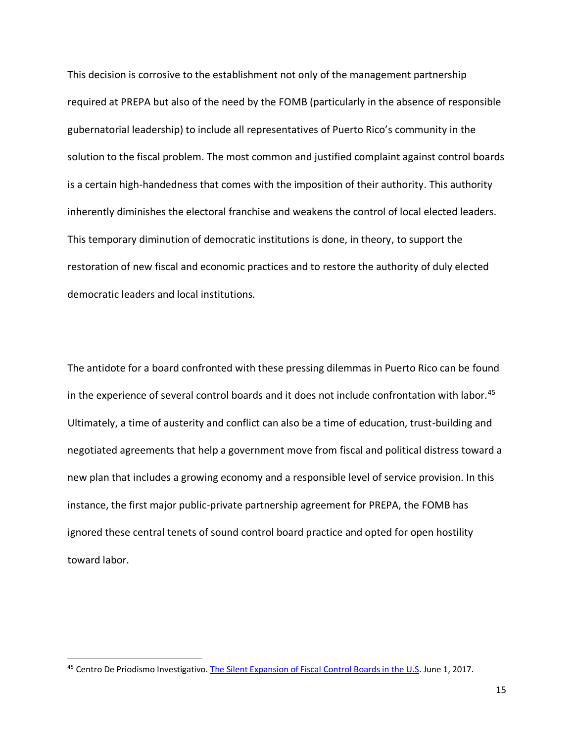This decision is corrosive to the establishment not only of the management partnership required at PREPA but also of the need by the FOMB (particularly in the absence of responsible gubernatorial leadership) to include all representatives of Puerto Rico's community in the solution to the fiscal problem. The most common and justified complaint against control boards is a certain high-handedness that comes with the imposition of their authority. This authority inherently diminishes the electoral franchise and weakens the control of local elected leaders. This temporary diminution of democratic institutions is done, in theory, to support the restoration of new fiscal and economic practices and to restore the authority of duly elected democratic leaders and local institutions.

The antidote for a board confronted with these pressing dilemmas in Puerto Rico can be found in the experience of several control boards and it does not include confrontation with labor.<sup>45</sup> Ultimately, a time of austerity and conflict can also be a time of education, trust-building and negotiated agreements that help a government move from fiscal and political distress toward a new plan that includes a growing economy and a responsible level of service provision. In this instance, the first major public-private partnership agreement for PREPA, the FOMB has ignored these central tenets of sound control board practice and opted for open hostility toward labor.

<sup>&</sup>lt;sup>45</sup> Centro De Priodismo Investigativo[. The Silent Expansion of Fiscal Control Boards in the U.S.](https://periodismoinvestigativo.com/2017/06/the-silent-expansion-of-fiscal-control-boards-in-the-u-s/) June 1, 2017.